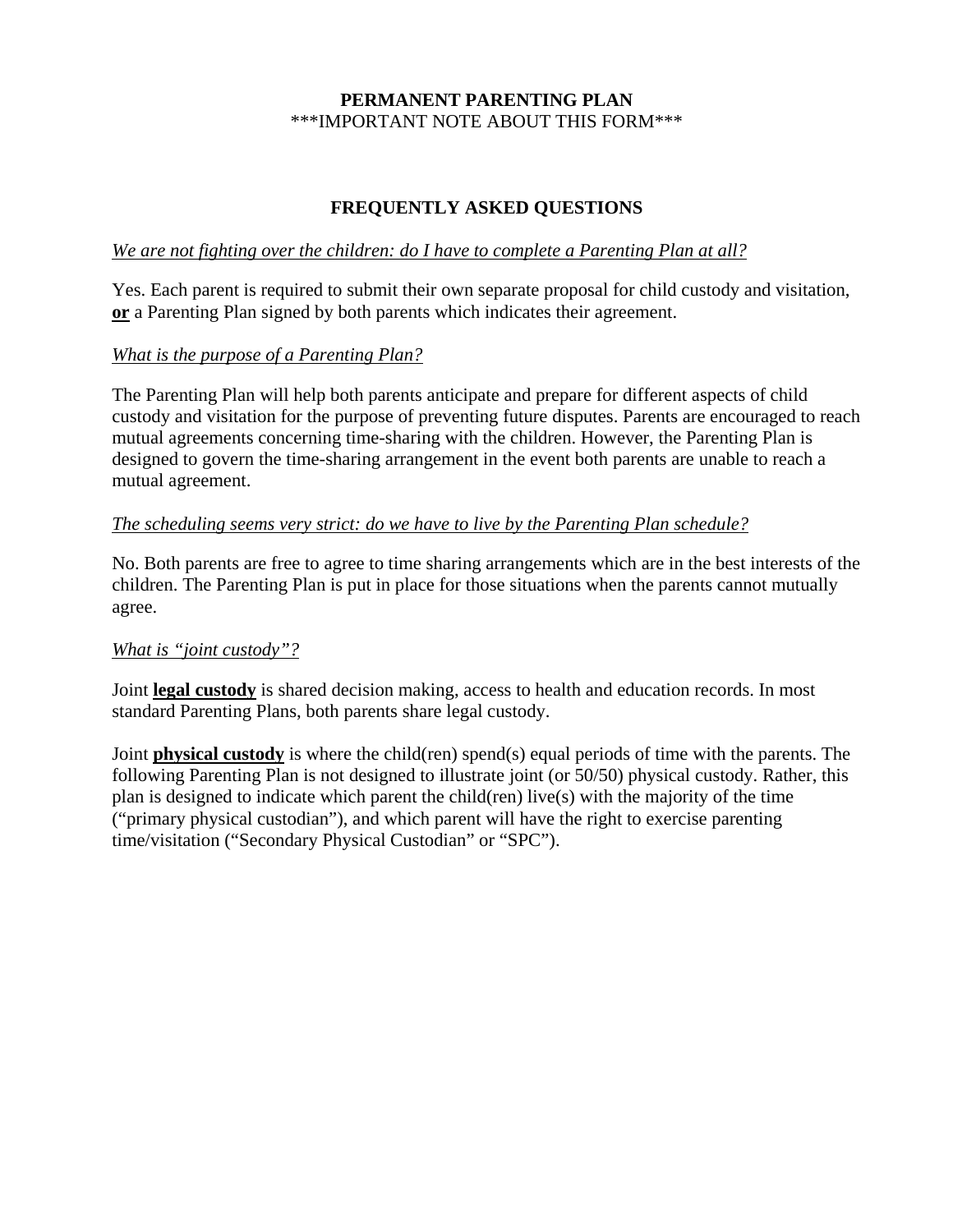## **PERMANENT PARENTING PLAN** \*\*\*IMPORTANT NOTE ABOUT THIS FORM\*\*\*

## **FREQUENTLY ASKED QUESTIONS**

## *We are not fighting over the children: do I have to complete a Parenting Plan at all?*

Yes. Each parent is required to submit their own separate proposal for child custody and visitation, **or** a Parenting Plan signed by both parents which indicates their agreement.

## *What is the purpose of a Parenting Plan?*

The Parenting Plan will help both parents anticipate and prepare for different aspects of child custody and visitation for the purpose of preventing future disputes. Parents are encouraged to reach mutual agreements concerning time-sharing with the children. However, the Parenting Plan is designed to govern the time-sharing arrangement in the event both parents are unable to reach a mutual agreement.

#### *The scheduling seems very strict: do we have to live by the Parenting Plan schedule?*

No. Both parents are free to agree to time sharing arrangements which are in the best interests of the children. The Parenting Plan is put in place for those situations when the parents cannot mutually agree.

#### *What is "joint custody"?*

Joint **legal custody** is shared decision making, access to health and education records. In most standard Parenting Plans, both parents share legal custody.

Joint **physical custody** is where the child(ren) spend(s) equal periods of time with the parents. The following Parenting Plan is not designed to illustrate joint (or 50/50) physical custody. Rather, this plan is designed to indicate which parent the child(ren) live(s) with the majority of the time ("primary physical custodian"), and which parent will have the right to exercise parenting time/visitation ("Secondary Physical Custodian" or "SPC").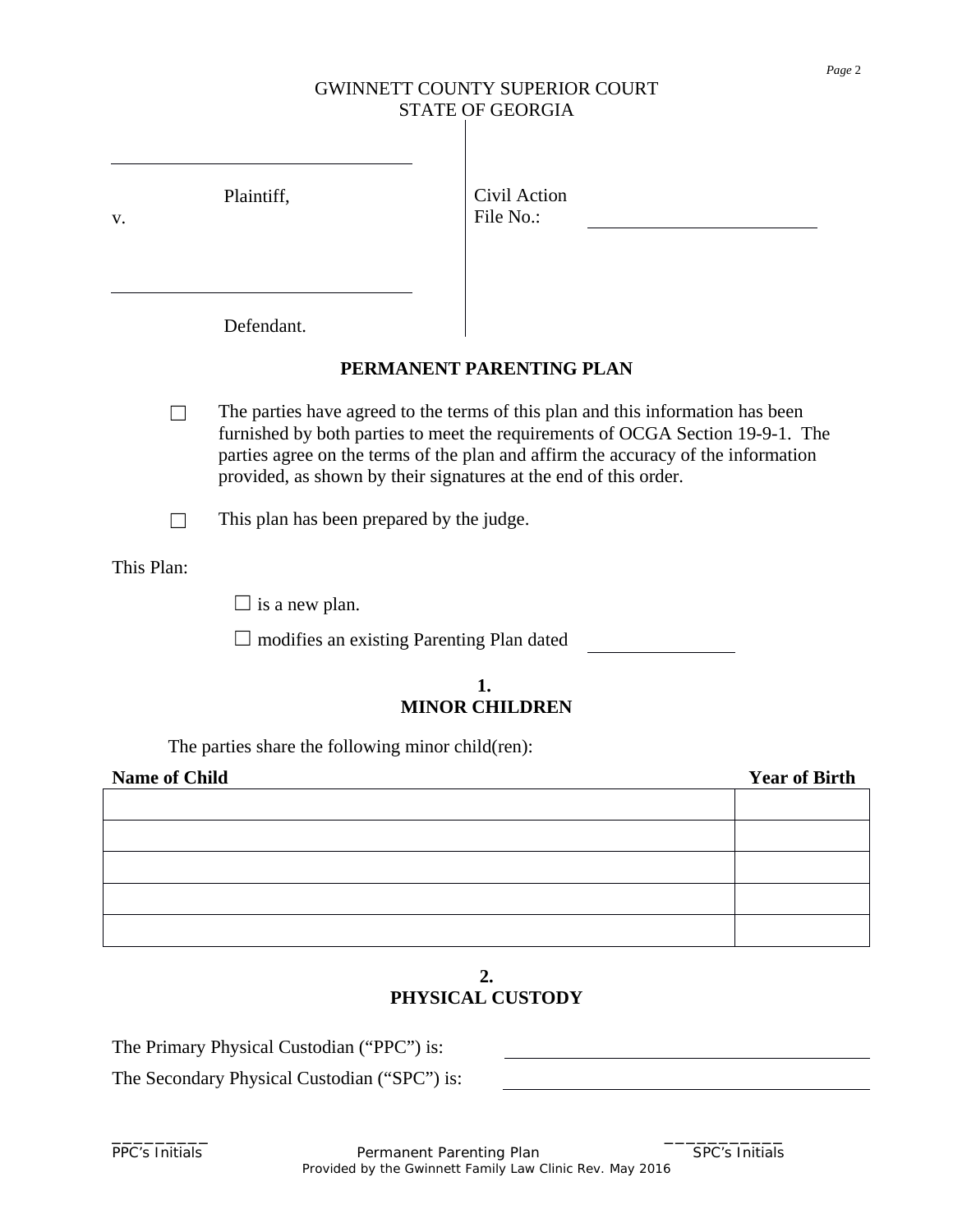# GWINNETT COUNTY SUPERIOR COURT STATE OF GEORGIA

| V.                   | Plaintiff,                                                       | Civil Action<br>File No.:                                                                                                                                                                                                                              |                      |
|----------------------|------------------------------------------------------------------|--------------------------------------------------------------------------------------------------------------------------------------------------------------------------------------------------------------------------------------------------------|----------------------|
|                      | Defendant.                                                       | PERMANENT PARENTING PLAN                                                                                                                                                                                                                               |                      |
|                      | provided, as shown by their signatures at the end of this order. | The parties have agreed to the terms of this plan and this information has been<br>furnished by both parties to meet the requirements of OCGA Section 19-9-1. The<br>parties agree on the terms of the plan and affirm the accuracy of the information |                      |
|                      | This plan has been prepared by the judge.                        |                                                                                                                                                                                                                                                        |                      |
| This Plan:           |                                                                  |                                                                                                                                                                                                                                                        |                      |
|                      | $\Box$ is a new plan.                                            |                                                                                                                                                                                                                                                        |                      |
|                      | $\Box$ modifies an existing Parenting Plan dated                 |                                                                                                                                                                                                                                                        |                      |
|                      |                                                                  | 1.<br><b>MINOR CHILDREN</b>                                                                                                                                                                                                                            |                      |
|                      | The parties share the following minor child(ren):                |                                                                                                                                                                                                                                                        |                      |
| <b>Name of Child</b> |                                                                  |                                                                                                                                                                                                                                                        | <b>Year of Birth</b> |
|                      |                                                                  |                                                                                                                                                                                                                                                        |                      |
|                      |                                                                  |                                                                                                                                                                                                                                                        |                      |
|                      |                                                                  |                                                                                                                                                                                                                                                        |                      |
|                      |                                                                  |                                                                                                                                                                                                                                                        |                      |
|                      |                                                                  |                                                                                                                                                                                                                                                        |                      |

## **2. PHYSICAL CUSTODY**

The Primary Physical Custodian ("PPC") is:

The Secondary Physical Custodian ("SPC") is:

PPC's Initials **Permanent Parenting Plan** SPC's Initials Provided by the Gwinnett Family Law Clinic Rev. May 2016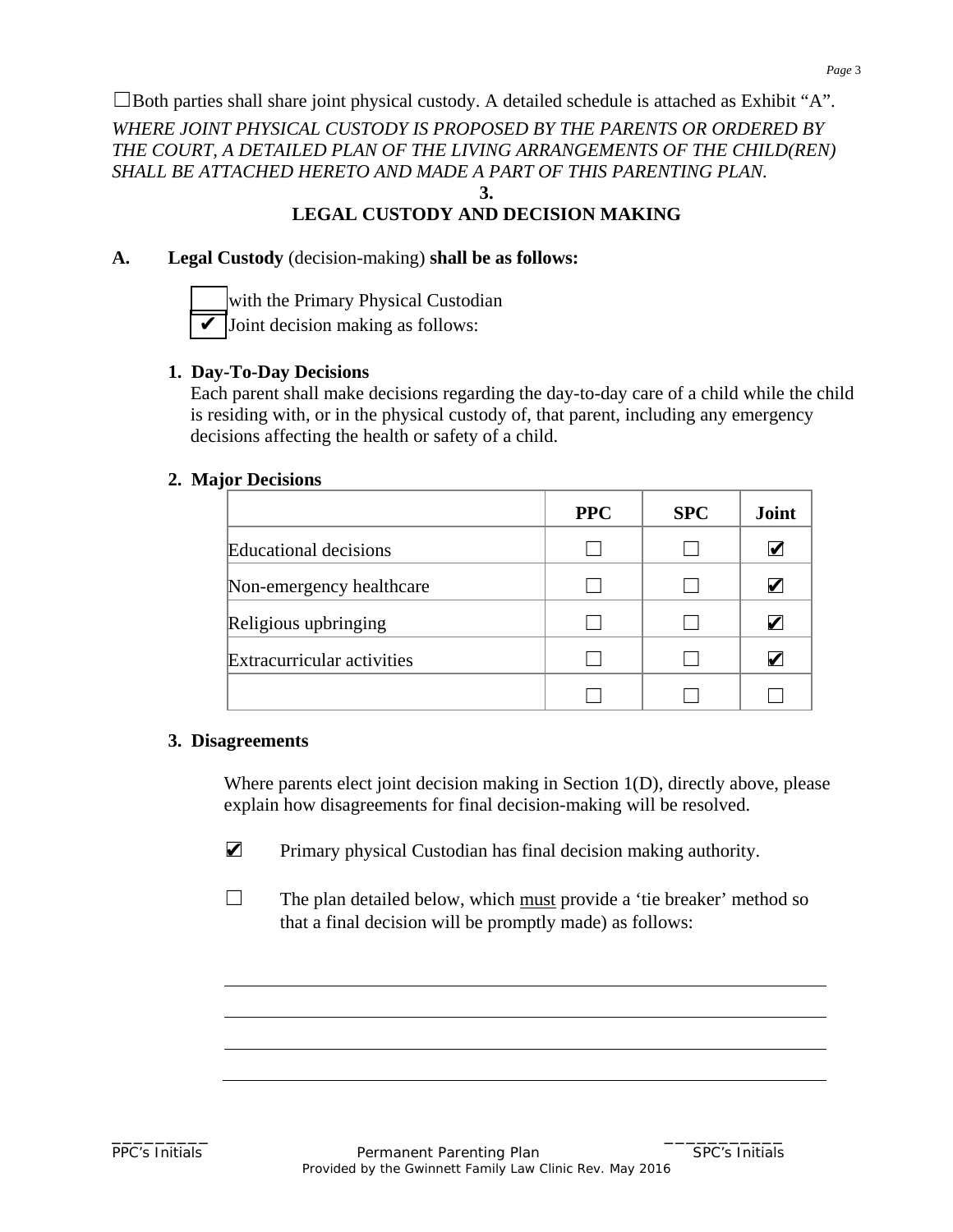$\Box$ Both parties shall share joint physical custody. A detailed schedule is attached as Exhibit "A".

*WHERE JOINT PHYSICAL CUSTODY IS PROPOSED BY THE PARENTS OR ORDERED BY THE COURT, A DETAILED PLAN OF THE LIVING ARRANGEMENTS OF THE CHILD(REN) SHALL BE ATTACHED HERETO AND MADE A PART OF THIS PARENTING PLAN.* **3.**

## **LEGAL CUSTODY AND DECISION MAKING**

## **A. Legal Custody** (decision-making) **shall be as follows:**



with the Primary Physical Custodian Joint decision making as follows:

## **1. Day-To-Day Decisions**

Each parent shall make decisions regarding the day-to-day care of a child while the child is residing with, or in the physical custody of, that parent, including any emergency decisions affecting the health or safety of a child.

## **2. Major Decisions**

|                              | <b>PPC</b> | <b>SPC</b> | Joint                 |
|------------------------------|------------|------------|-----------------------|
| <b>Educational decisions</b> |            |            | $\blacktriangleright$ |
| Non-emergency healthcare     |            |            | V                     |
| Religious upbringing         |            |            |                       |
| Extracurricular activities   |            |            |                       |
|                              |            |            |                       |

## **3. Disagreements**

Where parents elect joint decision making in Section 1(D), directly above, please explain how disagreements for final decision-making will be resolved.

- Primary physical Custodian has final decision making authority. ✔
- $\Box$  The plan detailed below, which must provide a 'tie breaker' method so that a final decision will be promptly made) as follows: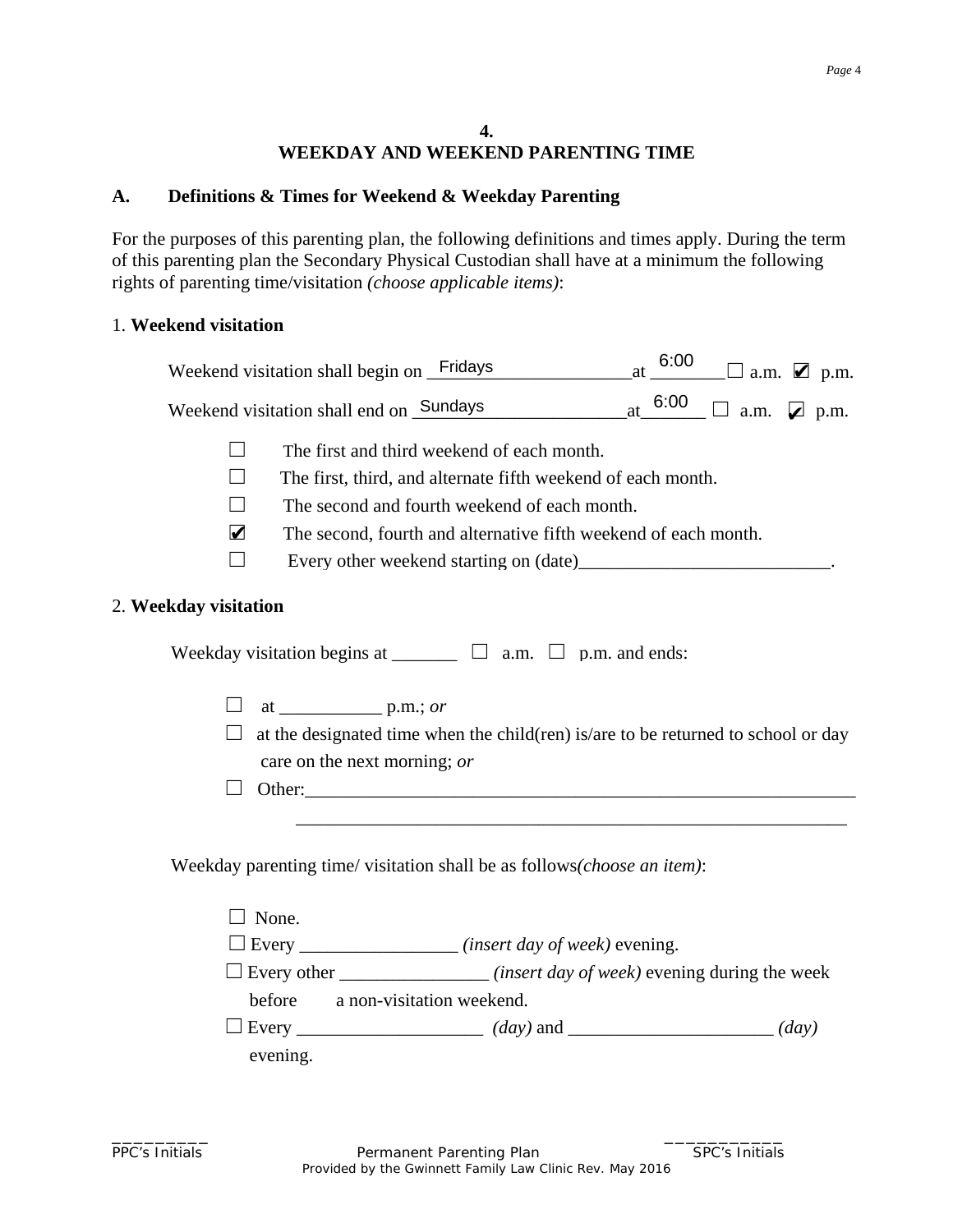#### **4. WEEKDAY AND WEEKEND PARENTING TIME**

## **A. Definitions & Times for Weekend & Weekday Parenting**

For the purposes of this parenting plan, the following definitions and times apply. During the term of this parenting plan the Secondary Physical Custodian shall have at a minimum the following rights of parenting time/visitation *(choose applicable items)*:

#### 1. **Weekend visitation**

|                          | Weekend visitation shall begin on Fridays                                            | $at = 6:00$ | $\square$ a.m. $\square$ p.m.             |
|--------------------------|--------------------------------------------------------------------------------------|-------------|-------------------------------------------|
|                          | Weekend visitation shall end on Sundays                                              | at $6:00$   | $\exists$ a.m. $\blacktriangleright$ p.m. |
|                          | The first and third weekend of each month.                                           |             |                                           |
|                          | The first, third, and alternate fifth weekend of each month.                         |             |                                           |
| $\overline{\phantom{0}}$ | The second and fourth weekend of each month.                                         |             |                                           |
| 2                        | The second, fourth and alternative fifth weekend of each month.                      |             |                                           |
| $\Box$                   |                                                                                      |             |                                           |
| 2. Weekday visitation    |                                                                                      |             |                                           |
|                          | Weekday visitation begins at $\Box$ $\Box$ a.m. $\Box$ p.m. and ends:                |             |                                           |
|                          | at $\_\_\_\_\_\_\_\_\_\_\$ p.m.; <i>or</i>                                           |             |                                           |
|                          | at the designated time when the child(ren) is/are to be returned to school or day    |             |                                           |
|                          | care on the next morning; or                                                         |             |                                           |
|                          |                                                                                      |             |                                           |
|                          |                                                                                      |             |                                           |
|                          | Weekday parenting time/visitation shall be as follows(choose an item):               |             |                                           |
|                          | $\Box$ None.                                                                         |             |                                           |
|                          | $\Box$ Every _____________________(insert day of week) evening.                      |             |                                           |
|                          | $\Box$ Every other _____________________(insert day of week) evening during the week |             |                                           |
|                          | before<br>a non-visitation weekend.                                                  |             |                                           |
|                          |                                                                                      |             |                                           |
|                          | evening.                                                                             |             |                                           |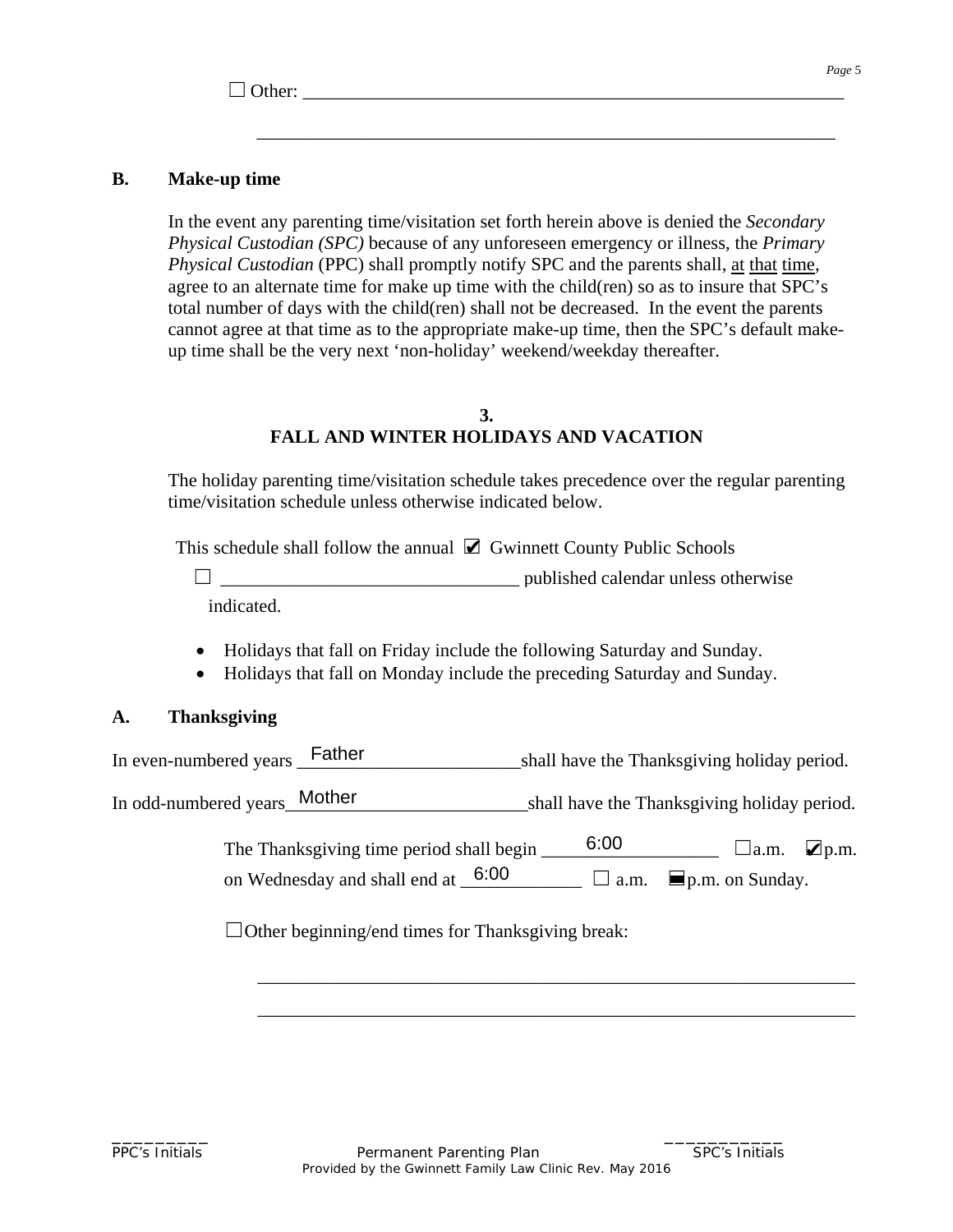$\Box$  Other:

## **B. Make-up time**

In the event any parenting time/visitation set forth herein above is denied the *Secondary Physical Custodian (SPC)* because of any unforeseen emergency or illness, the *Primary Physical Custodian* (PPC) shall promptly notify SPC and the parents shall, at that time, agree to an alternate time for make up time with the child(ren) so as to insure that SPC's total number of days with the child(ren) shall not be decreased. In the event the parents cannot agree at that time as to the appropriate make-up time, then the SPC's default makeup time shall be the very next 'non-holiday' weekend/weekday thereafter.

\_\_\_\_\_\_\_\_\_\_\_\_\_\_\_\_\_\_\_\_\_\_\_\_\_\_\_\_\_\_\_\_\_\_\_\_\_\_\_\_\_\_\_\_\_\_\_\_\_\_\_\_\_\_\_\_\_\_\_\_\_\_

#### **3. FALL AND WINTER HOLIDAYS AND VACATION**

The holiday parenting time/visitation schedule takes precedence over the regular parenting time/visitation schedule unless otherwise indicated below.

This schedule shall follow the annual  $\triangledown$  Gwinnett County Public Schools

 ☐ \_\_\_\_\_\_\_\_\_\_\_\_\_\_\_\_\_\_\_\_\_\_\_\_\_\_\_\_\_\_\_\_ published calendar unless otherwise indicated.

- Holidays that fall on Friday include the following Saturday and Sunday.
- Holidays that fall on Monday include the preceding Saturday and Sunday.

## **A. Thanksgiving**

In even-numbered years **Father** shall have the Thanksgiving holiday period. s Father shall have the<br>Mother shall have the<br>nksgiving time period shall begin 6:00

In odd-numbered years\_\_\_\_\_\_\_\_\_\_\_\_\_\_\_\_\_\_\_\_\_\_\_\_\_\_shall have the Thanksgiving holiday period.

The Thanksgiving time period shall begin  $\qquad 6.00$ on Wednesday and shall end at  $6.00$   $\Box$  a.m.  $\Box$  p.m. on Sunday. ■ Gv<br>
<br>
ude th<br>
clude<br>
<br>
hall be<br>
6:00  $\Box$   $\Box$  a.m.  $\Box$  p.m.

\_\_\_\_\_\_\_\_\_\_\_\_\_\_\_\_\_\_\_\_\_\_\_\_\_\_\_\_\_\_\_\_\_\_\_\_\_\_\_\_\_\_\_\_\_\_\_\_\_\_\_\_\_\_\_\_\_\_\_\_\_\_\_\_

\_\_\_\_\_\_\_\_\_\_\_\_\_\_\_\_\_\_\_\_\_\_\_\_\_\_\_\_\_\_\_\_\_\_\_\_\_\_\_\_\_\_\_\_\_\_\_\_\_\_\_\_\_\_\_\_\_\_\_\_\_\_\_\_

 $\Box$ Other beginning/end times for Thanksgiving break: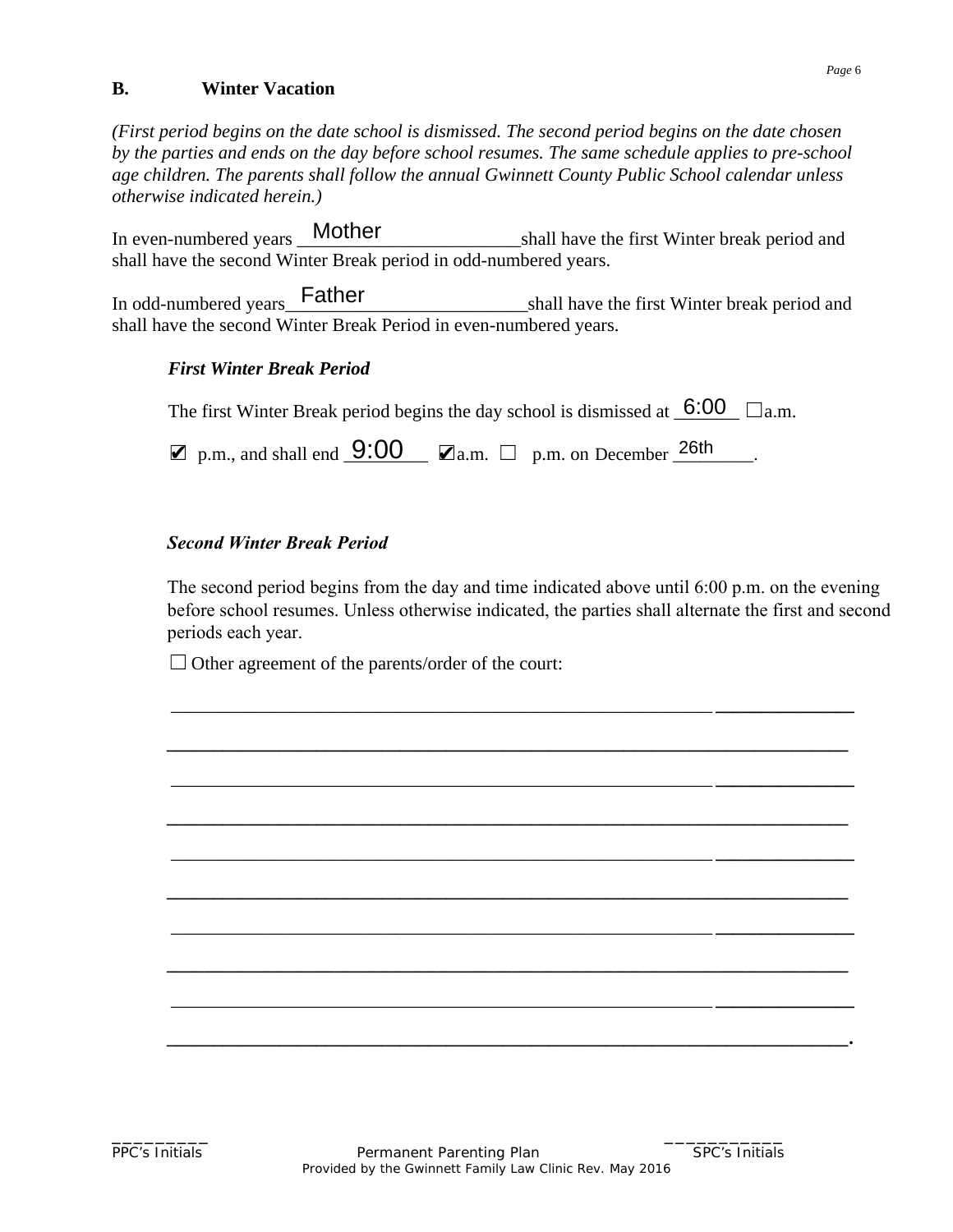#### **B. Winter Vacation**

*(First period begins on the date school is dismissed. The second period begins on the date chosen by the parties and ends on the day before school resumes. The same schedule applies to pre-school age children. The parents shall follow the annual Gwinnett County Public School calendar unless otherwise indicated herein.)*

shall have the first Winter break period and shall have the second Winter Break period in odd-numbered years. In even-numbered years \_Mother

In odd-numbered years\_\_\_\_\_\_\_\_\_\_\_\_\_\_\_\_\_\_\_\_\_\_\_\_\_\_shall have the first Winter break period and shall have the second Winter Break Period in even-numbered years.

## *First Winter Break Period*

| The first Winter Break period begins the day school is dismissed at $\overline{6}$ :00 $\Box$ a.m.       |  |  |  |
|----------------------------------------------------------------------------------------------------------|--|--|--|
| $\mathbf{Z}$ p.m., and shall end $\mathbf{9:00}$ $\mathbf{Z}_{a.m.}$ $\Box$ p.m. on December 26th $\Box$ |  |  |  |

## *Second Winter Break Period*

The second period begins from the day and time indicated above until 6:00 p.m. on the evening before school resumes. Unless otherwise indicated, the parties shall alternate the first and second periods each year.

\_\_\_\_\_\_\_\_\_\_\_\_\_\_\_\_\_\_\_\_\_\_\_\_\_\_\_\_\_\_\_\_\_\_\_\_\_\_\_\_\_\_\_\_\_\_\_\_\_\_\_\_\_\_\_\_\_\_ *\_\_\_\_\_\_\_\_\_\_\_\_\_\_\_*

*\_\_\_\_\_\_\_\_\_\_\_\_\_\_\_\_\_\_\_\_\_\_\_\_\_\_\_\_\_\_\_\_\_\_\_\_\_\_\_\_\_\_\_\_\_\_\_\_\_\_\_\_\_\_\_\_\_\_\_\_\_\_\_\_\_\_\_\_\_\_\_\_\_*

\_\_\_\_\_\_\_\_\_\_\_\_\_\_\_\_\_\_\_\_\_\_\_\_\_\_\_\_\_\_\_\_\_\_\_\_\_\_\_\_\_\_\_\_\_\_\_\_\_\_\_\_\_\_\_\_\_\_ *\_\_\_\_\_\_\_\_\_\_\_\_\_\_\_*

*\_\_\_\_\_\_\_\_\_\_\_\_\_\_\_\_\_\_\_\_\_\_\_\_\_\_\_\_\_\_\_\_\_\_\_\_\_\_\_\_\_\_\_\_\_\_\_\_\_\_\_\_\_\_\_\_\_\_\_\_\_\_\_\_\_\_\_\_\_\_\_\_\_*

\_\_\_\_\_\_\_\_\_\_\_\_\_\_\_\_\_\_\_\_\_\_\_\_\_\_\_\_\_\_\_\_\_\_\_\_\_\_\_\_\_\_\_\_\_\_\_\_\_\_\_\_\_\_\_\_\_\_ *\_\_\_\_\_\_\_\_\_\_\_\_\_\_\_*

*\_\_\_\_\_\_\_\_\_\_\_\_\_\_\_\_\_\_\_\_\_\_\_\_\_\_\_\_\_\_\_\_\_\_\_\_\_\_\_\_\_\_\_\_\_\_\_\_\_\_\_\_\_\_\_\_\_\_\_\_\_\_\_\_\_\_\_\_\_\_\_\_\_*

\_\_\_\_\_\_\_\_\_\_\_\_\_\_\_\_\_\_\_\_\_\_\_\_\_\_\_\_\_\_\_\_\_\_\_\_\_\_\_\_\_\_\_\_\_\_\_\_\_\_\_\_\_\_\_\_\_\_ *\_\_\_\_\_\_\_\_\_\_\_\_\_\_\_*

*\_\_\_\_\_\_\_\_\_\_\_\_\_\_\_\_\_\_\_\_\_\_\_\_\_\_\_\_\_\_\_\_\_\_\_\_\_\_\_\_\_\_\_\_\_\_\_\_\_\_\_\_\_\_\_\_\_\_\_\_\_\_\_\_\_\_\_\_\_\_\_\_\_*

\_\_\_\_\_\_\_\_\_\_\_\_\_\_\_\_\_\_\_\_\_\_\_\_\_\_\_\_\_\_\_\_\_\_\_\_\_\_\_\_\_\_\_\_\_\_\_\_\_\_\_\_\_\_\_\_\_\_ *\_\_\_\_\_\_\_\_\_\_\_\_\_\_\_*

*\_\_\_\_\_\_\_\_\_\_\_\_\_\_\_\_\_\_\_\_\_\_\_\_\_\_\_\_\_\_\_\_\_\_\_\_\_\_\_\_\_\_\_\_\_\_\_\_\_\_\_\_\_\_\_\_\_\_\_\_\_\_\_\_\_\_\_\_\_\_\_\_\_.*

 $\Box$  Other agreement of the parents/order of the court: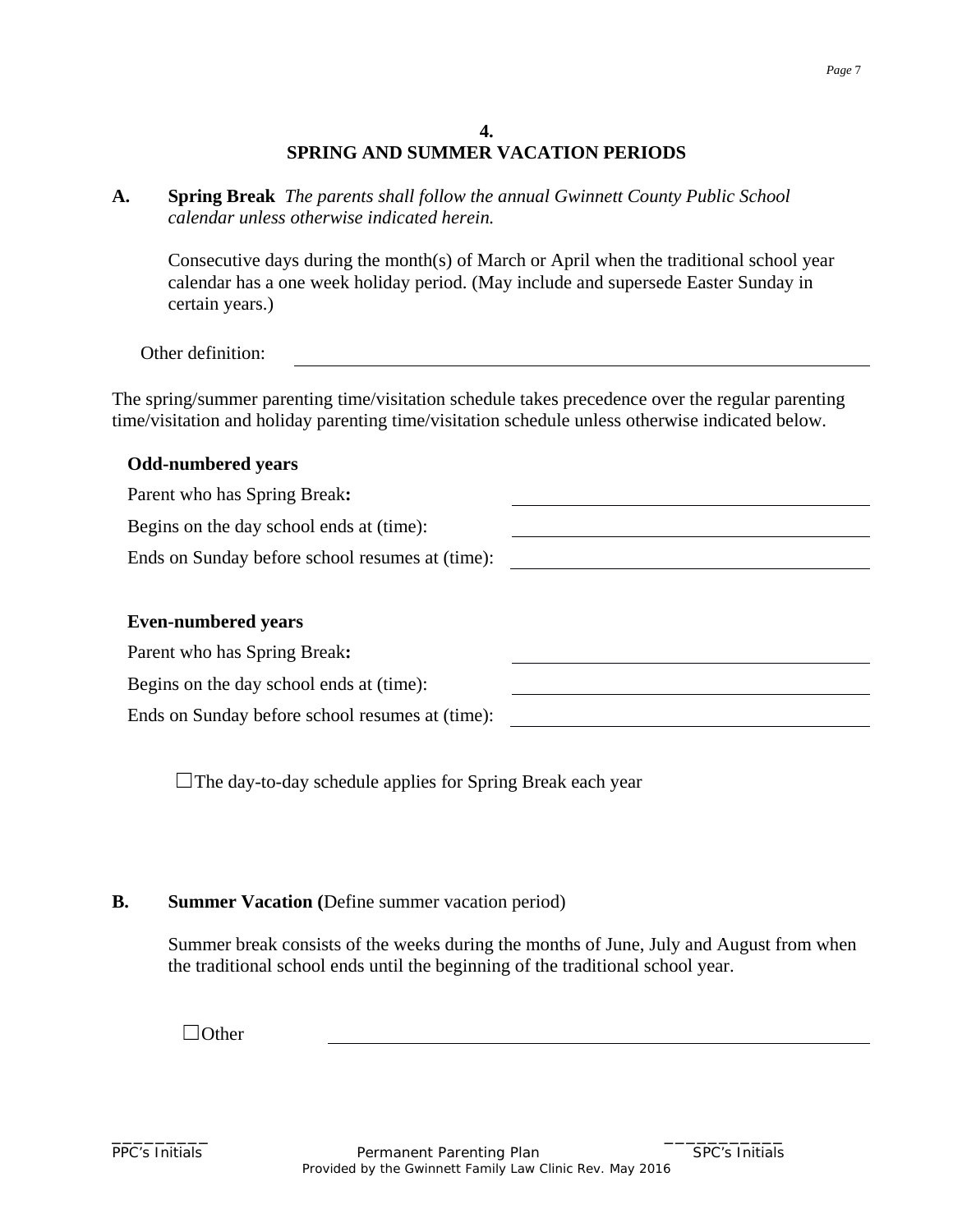## **4. SPRING AND SUMMER VACATION PERIODS**

**A. Spring Break** *The parents shall follow the annual Gwinnett County Public School calendar unless otherwise indicated herein.*

Consecutive days during the month(s) of March or April when the traditional school year calendar has a one week holiday period. (May include and supersede Easter Sunday in certain years.)

Other definition:

The spring/summer parenting time/visitation schedule takes precedence over the regular parenting time/visitation and holiday parenting time/visitation schedule unless otherwise indicated below.

# **Odd-numbered years** Parent who has Spring Break**:** Begins on the day school ends at (time): Ends on Sunday before school resumes at (time): **Even-numbered years** Parent who has Spring Break**:** Begins on the day school ends at (time): Ends on Sunday before school resumes at (time):

 $\Box$ The day-to-day schedule applies for Spring Break each year

#### **B. Summer Vacation (**Define summer vacation period)

Summer break consists of the weeks during the months of June, July and August from when the traditional school ends until the beginning of the traditional school year.

 $\Box$ Other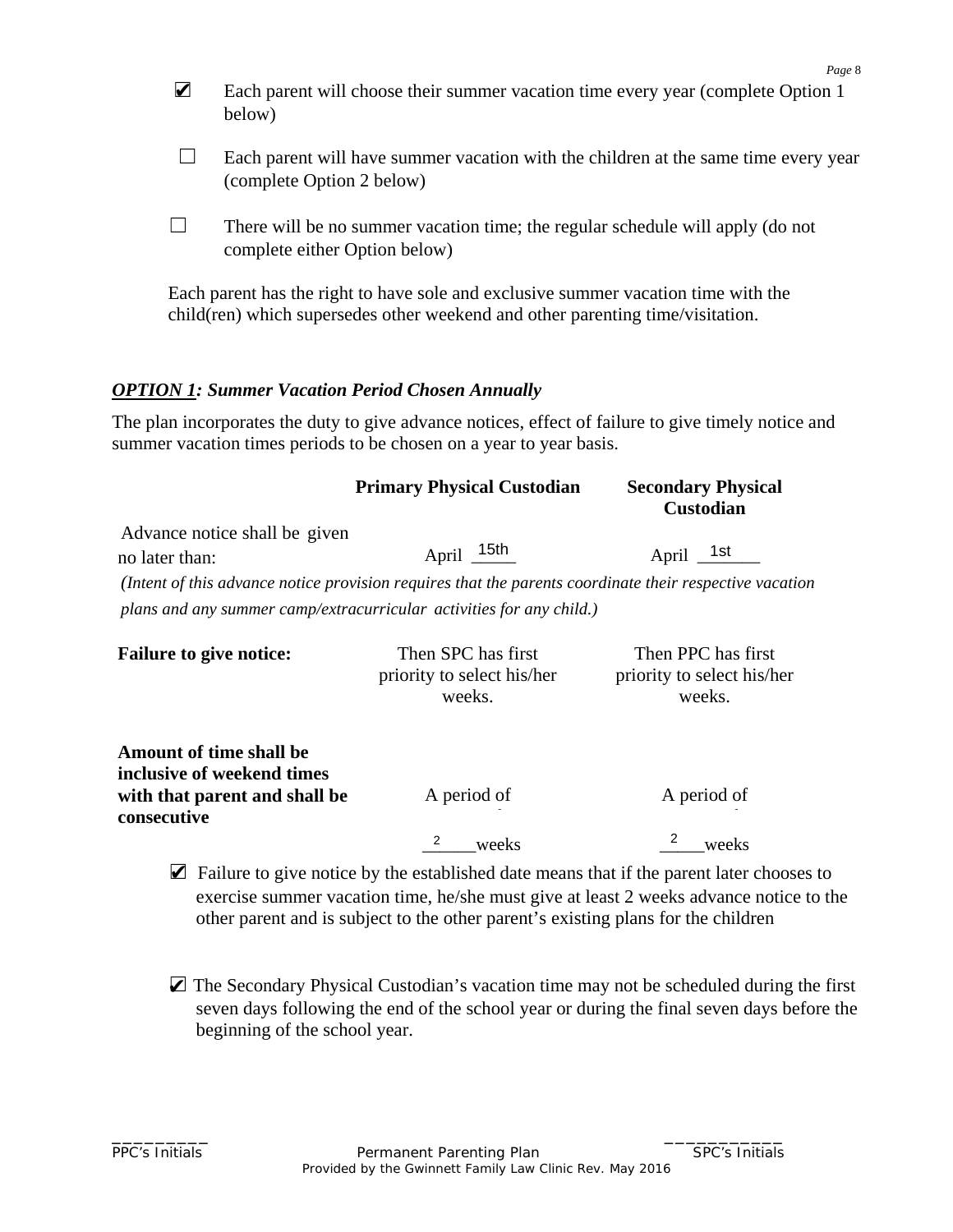|   | Page 8                                                                                                                                                               |
|---|----------------------------------------------------------------------------------------------------------------------------------------------------------------------|
| Ø | Each parent will choose their summer vacation time every year (complete Option 1)<br>below)                                                                          |
|   | Each parent will have summer vacation with the children at the same time every year<br>(complete Option 2 below)                                                     |
|   | There will be no summer vacation time; the regular schedule will apply (do not<br>complete either Option below)                                                      |
|   | Each parent has the right to have sole and exclusive summer vacation time with the<br>child(ren) which supersedes other weekend and other parenting time/visitation. |

## *OPTION 1: Summer Vacation Period Chosen Annually*

The plan incorporates the duty to give advance notices, effect of failure to give timely notice and summer vacation times periods to be chosen on a year to year basis.

|                                                                                               | <b>Primary Physical Custodian</b>                                                                       | <b>Secondary Physical</b><br><b>Custodian</b>              |
|-----------------------------------------------------------------------------------------------|---------------------------------------------------------------------------------------------------------|------------------------------------------------------------|
| Advance notice shall be given<br>no later than:                                               | April 15th                                                                                              | April $1st$                                                |
|                                                                                               | (Intent of this advance notice provision requires that the parents coordinate their respective vacation |                                                            |
|                                                                                               | plans and any summer camp/extracurricular activities for any child.)                                    |                                                            |
| <b>Failure to give notice:</b>                                                                | Then SPC has first<br>priority to select his/her<br>weeks.                                              | Then PPC has first<br>priority to select his/her<br>weeks. |
| <b>Amount of time shall be</b><br>inclusive of weekend times<br>with that parent and shall be | A period of                                                                                             | A period of                                                |
| consecutive                                                                                   | 2<br>weeks                                                                                              | weeks                                                      |
|                                                                                               | <b>Z</b> Failure to give notice by the established date means that if the parent later chooses to       |                                                            |

- exercise summer vacation time, he/she must give at least 2 weeks advance notice to the other parent and is subject to the other parent's existing plans for the children
- The Secondary Physical Custodian's vacation time may not be scheduled during the first seven days following the end of the school year or during the final seven days before the beginning of the school year.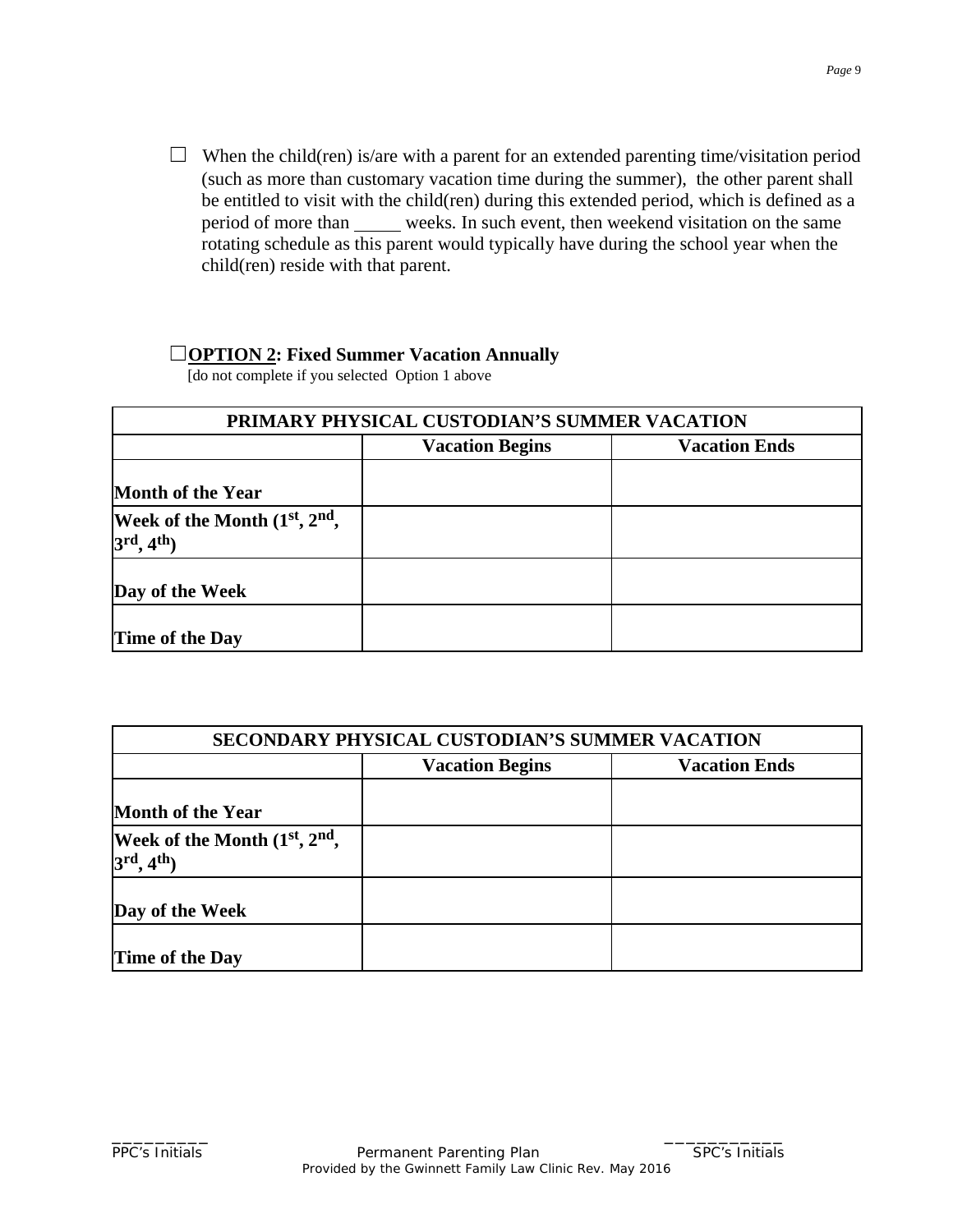$\Box$  When the child(ren) is/are with a parent for an extended parenting time/visitation period (such as more than customary vacation time during the summer), the other parent shall be entitled to visit with the child(ren) during this extended period, which is defined as a period of more than weeks. In such event, then weekend visitation on the same rotating schedule as this parent would typically have during the school year when the child(ren) reside with that parent.

## ☐**OPTION 2: Fixed Summer Vacation Annually**

[do not complete if you selected Option 1 above

| PRIMARY PHYSICAL CUSTODIAN'S SUMMER VACATION              |                                                |  |  |  |
|-----------------------------------------------------------|------------------------------------------------|--|--|--|
|                                                           | <b>Vacation Ends</b><br><b>Vacation Begins</b> |  |  |  |
| <b>Month of the Year</b>                                  |                                                |  |  |  |
| Week of the Month (1st, 2nd,<br>$3rd$ , 4 <sup>th</sup> ) |                                                |  |  |  |
| Day of the Week                                           |                                                |  |  |  |
| Time of the Day                                           |                                                |  |  |  |

| <b>SECONDARY PHYSICAL CUSTODIAN'S SUMMER VACATION</b>          |                                                |  |  |
|----------------------------------------------------------------|------------------------------------------------|--|--|
|                                                                | <b>Vacation Begins</b><br><b>Vacation Ends</b> |  |  |
| <b>Month of the Year</b>                                       |                                                |  |  |
| Week of the Month (1st, 2nd,<br>$3^{\text{rd}}, 4^{\text{th}}$ |                                                |  |  |
| Day of the Week                                                |                                                |  |  |
| Time of the Day                                                |                                                |  |  |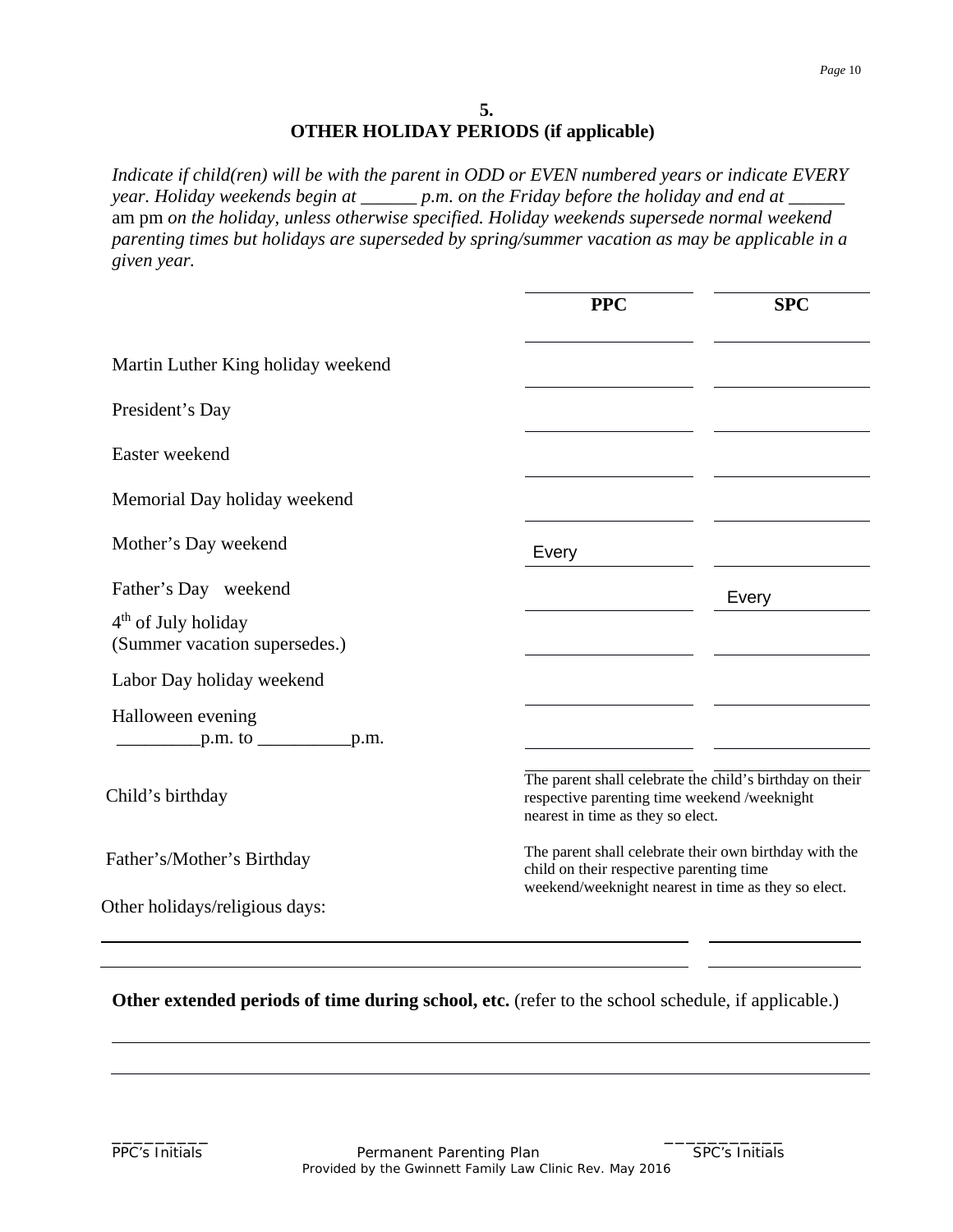## **5. OTHER HOLIDAY PERIODS (if applicable)**

*Indicate if child(ren) will be with the parent in ODD or EVEN numbered years or indicate EVERY year. Holiday weekends begin at \_\_\_\_\_\_ p.m. on the Friday before the holiday and end at \_\_\_\_\_\_* am pm *on the holiday, unless otherwise specified. Holiday weekends supersede normal weekend parenting times but holidays are superseded by spring/summer vacation as may be applicable in a given year.*

|                                                        | <b>PPC</b>                                                                                      | <b>SPC</b>                                               |
|--------------------------------------------------------|-------------------------------------------------------------------------------------------------|----------------------------------------------------------|
| Martin Luther King holiday weekend                     |                                                                                                 |                                                          |
| President's Day                                        |                                                                                                 |                                                          |
| Easter weekend                                         |                                                                                                 |                                                          |
| Memorial Day holiday weekend                           |                                                                                                 |                                                          |
| Mother's Day weekend                                   | Every                                                                                           |                                                          |
| Father's Day weekend                                   |                                                                                                 | Every                                                    |
| $4th$ of July holiday<br>(Summer vacation supersedes.) |                                                                                                 |                                                          |
| Labor Day holiday weekend                              |                                                                                                 |                                                          |
| Halloween evening<br>$p.m.$ to $\_\_\_\_p.m.$          |                                                                                                 |                                                          |
| Child's birthday                                       | respective parenting time weekend /weeknight<br>nearest in time as they so elect.               | The parent shall celebrate the child's birthday on their |
| Father's/Mother's Birthday                             | child on their respective parenting time<br>weekend/weeknight nearest in time as they so elect. | The parent shall celebrate their own birthday with the   |
| Other holidays/religious days:                         |                                                                                                 |                                                          |

**Other extended periods of time during school, etc.** (refer to the school schedule, if applicable.)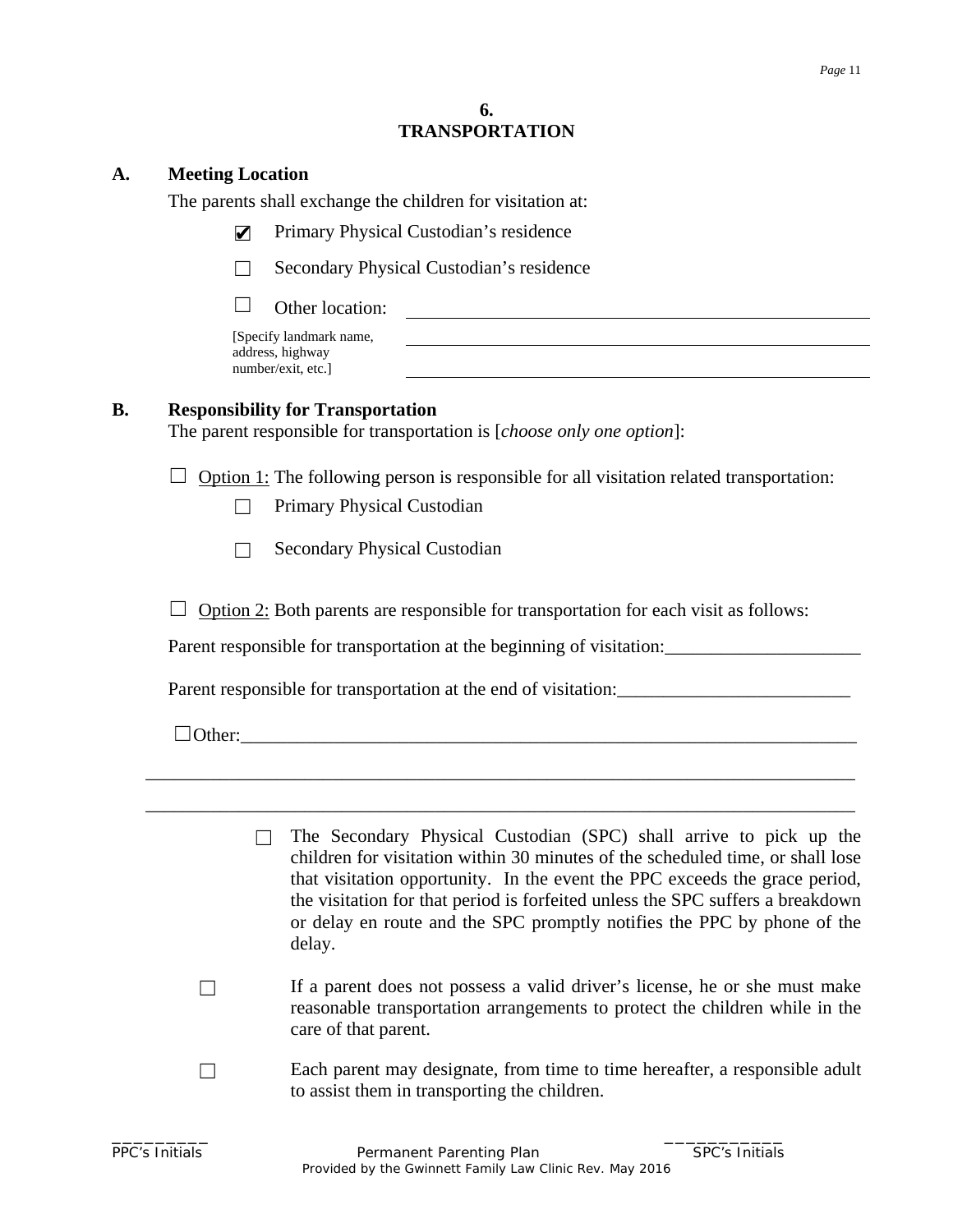#### **6. TRANSPORTATION**

#### **A. Meeting Location**

The parents shall exchange the children for visitation at:

- Primary Physical Custodian's residence ✔
- ☐ Secondary Physical Custodian's residence
- $\Box$  Other location:

[Specify landmark name, address, highway number/exit, etc.]

## **B. Responsibility for Transportation**

The parent responsible for transportation is [*choose only one option*]:

 $\Box$  Option 1: The following person is responsible for all visitation related transportation:

- ☐ Primary Physical Custodian
- $\Box$  Secondary Physical Custodian

 $\Box$  Option 2: Both parents are responsible for transportation for each visit as follows:

Parent responsible for transportation at the beginning of visitation:

Parent responsible for transportation at the end of visitation: \_\_\_\_\_\_\_\_\_\_\_\_\_\_\_\_\_\_\_\_\_\_\_

\_\_\_\_\_\_\_\_\_\_\_\_\_\_\_\_\_\_\_\_\_\_\_\_\_\_\_\_\_\_\_\_\_\_\_\_\_\_\_\_\_\_\_\_\_\_\_\_\_\_\_\_\_\_\_\_\_\_\_\_\_\_\_\_\_\_\_\_\_\_\_\_\_\_\_\_

\_\_\_\_\_\_\_\_\_\_\_\_\_\_\_\_\_\_\_\_\_\_\_\_\_\_\_\_\_\_\_\_\_\_\_\_\_\_\_\_\_\_\_\_\_\_\_\_\_\_\_\_\_\_\_\_\_\_\_\_\_\_\_\_\_\_\_\_\_\_\_\_\_\_\_\_

 $\Box$  Other:

- $\Box$  The Secondary Physical Custodian (SPC) shall arrive to pick up the children for visitation within 30 minutes of the scheduled time, or shall lose that visitation opportunity. In the event the PPC exceeds the grace period, the visitation for that period is forfeited unless the SPC suffers a breakdown or delay en route and the SPC promptly notifies the PPC by phone of the delay.
- ☐ If a parent does not possess a valid driver's license, he or she must make reasonable transportation arrangements to protect the children while in the care of that parent.
- $\Box$  Each parent may designate, from time to time hereafter, a responsible adult to assist them in transporting the children.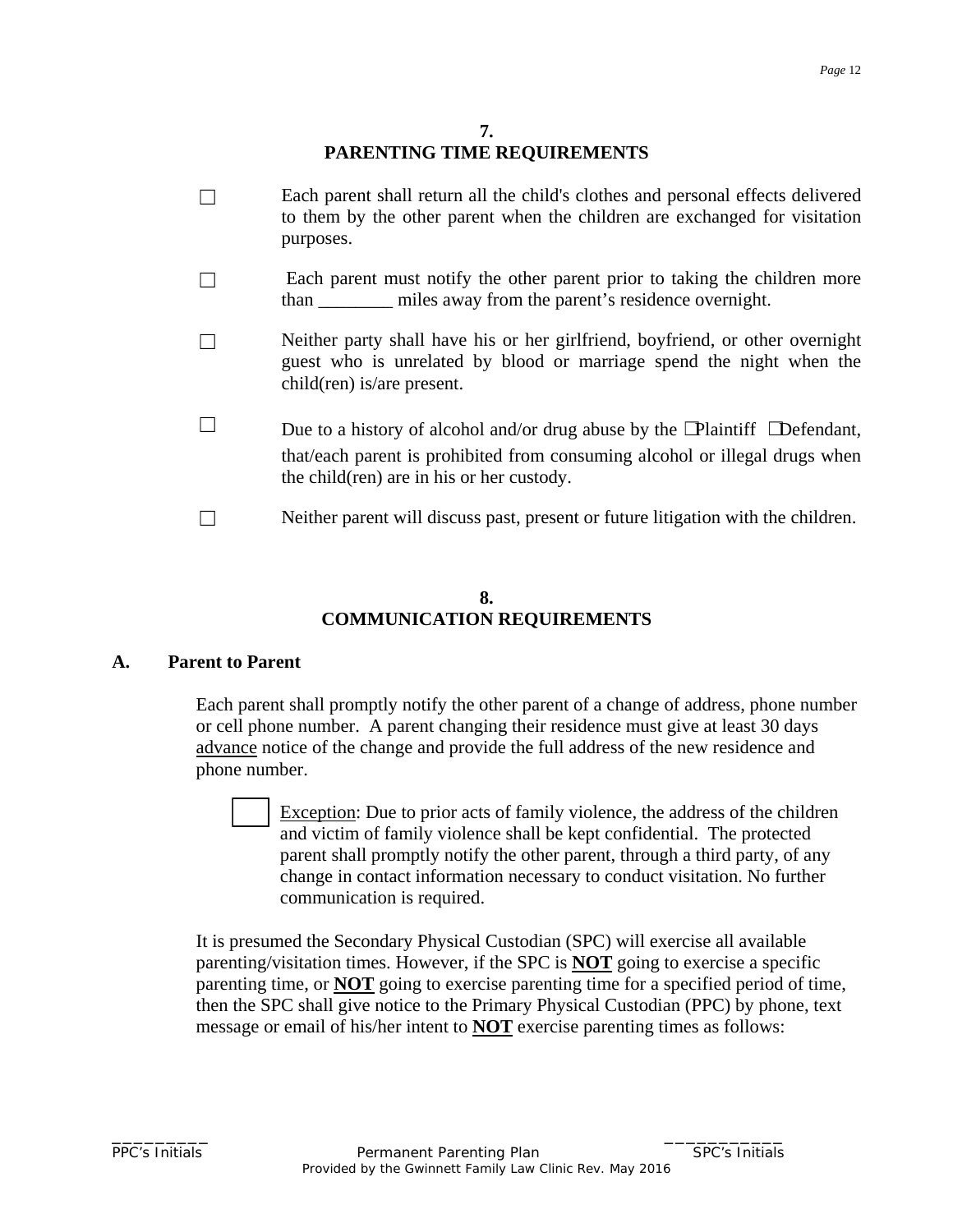## **7. PARENTING TIME REQUIREMENTS**

- □ Each parent shall return all the child's clothes and personal effects delivered to them by the other parent when the children are exchanged for visitation purposes.
- $\Box$  Each parent must notify the other parent prior to taking the children more than \_\_\_\_\_\_\_\_ miles away from the parent's residence overnight.
- □ Neither party shall have his or her girlfriend, boyfriend, or other overnight guest who is unrelated by blood or marriage spend the night when the child(ren) is/are present.
- ☐ Due to a history of alcohol and/or drug abuse by the ☐Plaintiff ☐Defendant, that/each parent is prohibited from consuming alcohol or illegal drugs when the child(ren) are in his or her custody.
- ☐ Neither parent will discuss past, present or future litigation with the children.

## **8. COMMUNICATION REQUIREMENTS**

#### **A. Parent to Parent**

Each parent shall promptly notify the other parent of a change of address, phone number or cell phone number. A parent changing their residence must give at least 30 days advance notice of the change and provide the full address of the new residence and phone number.

Exception: Due to prior acts of family violence, the address of the children and victim of family violence shall be kept confidential. The protected parent shall promptly notify the other parent, through a third party, of any change in contact information necessary to conduct visitation. No further communication is required.

It is presumed the Secondary Physical Custodian (SPC) will exercise all available parenting/visitation times. However, if the SPC is **NOT** going to exercise a specific parenting time, or **NOT** going to exercise parenting time for a specified period of time, then the SPC shall give notice to the Primary Physical Custodian (PPC) by phone, text message or email of his/her intent to **NOT** exercise parenting times as follows: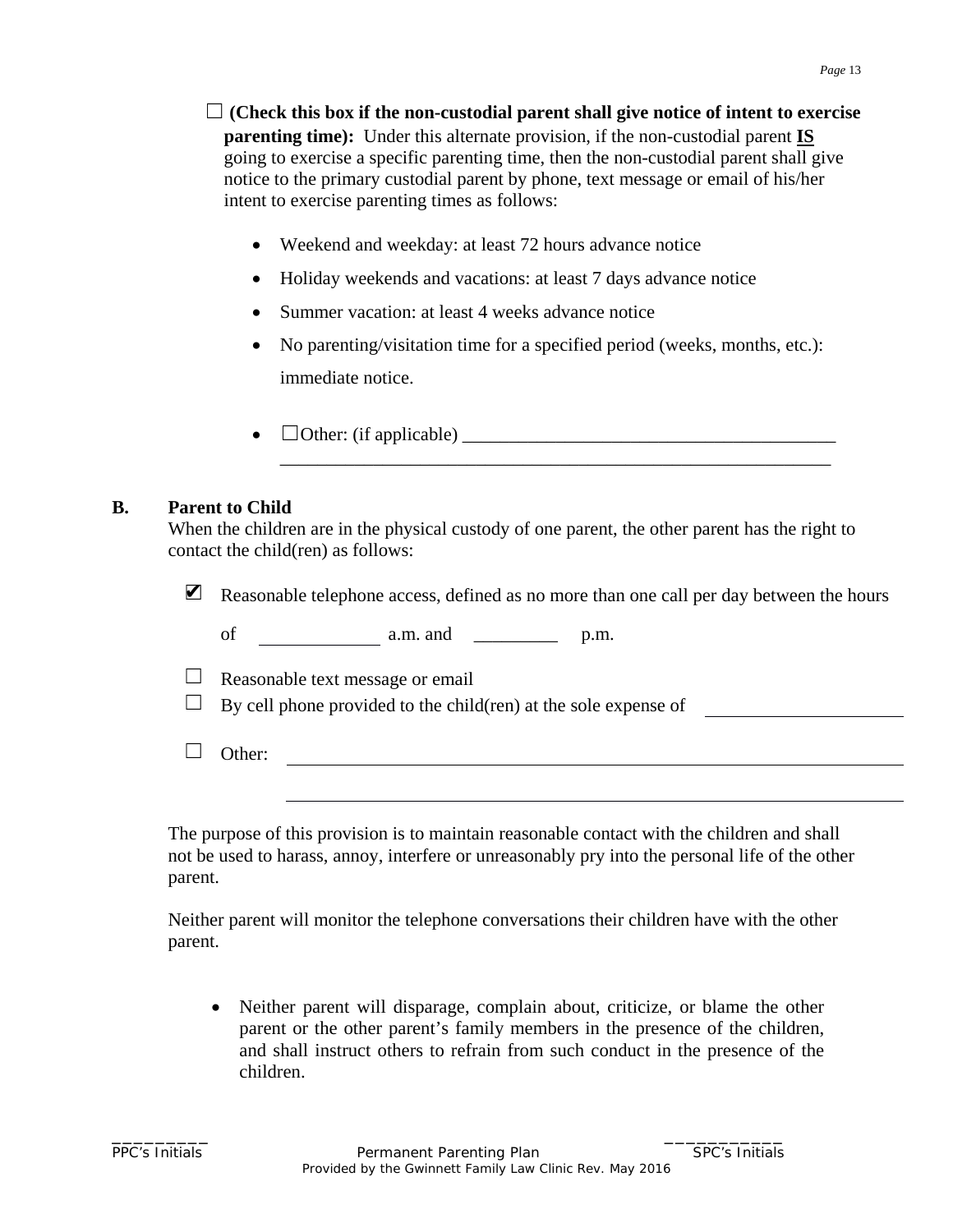- ☐ **(Check this box if the non-custodial parent shall give notice of intent to exercise parenting time):** Under this alternate provision, if the non-custodial parent **IS** going to exercise a specific parenting time, then the non-custodial parent shall give notice to the primary custodial parent by phone, text message or email of his/her intent to exercise parenting times as follows:
	- Weekend and weekday: at least 72 hours advance notice
	- Holiday weekends and vacations: at least 7 days advance notice
	- Summer vacation: at least 4 weeks advance notice
	- No parenting/visitation time for a specified period (weeks, months, etc.): immediate notice.

\_\_\_\_\_\_\_\_\_\_\_\_\_\_\_\_\_\_\_\_\_\_\_\_\_\_\_\_\_\_\_\_\_\_\_\_\_\_\_\_\_\_\_\_\_\_\_\_\_\_\_\_\_\_\_\_\_\_\_

•  $\Box$  Other: (if applicable)

#### **B. Parent to Child**

When the children are in the physical custody of one parent, the other parent has the right to contact the child(ren) as follows:

| $\blacksquare$ Reasonable telephone access, defined as no more than one call per day between the hours |
|--------------------------------------------------------------------------------------------------------|
|--------------------------------------------------------------------------------------------------------|

of  $\qquad \qquad$  a.m. and  $\qquad \qquad$  p.m.

 $\Box$  Reasonable text message or email

 $\Box$  By cell phone provided to the child(ren) at the sole expense of

☐ Other:

The purpose of this provision is to maintain reasonable contact with the children and shall not be used to harass, annoy, interfere or unreasonably pry into the personal life of the other parent.

Neither parent will monitor the telephone conversations their children have with the other parent.

• Neither parent will disparage, complain about, criticize, or blame the other parent or the other parent's family members in the presence of the children, and shall instruct others to refrain from such conduct in the presence of the children.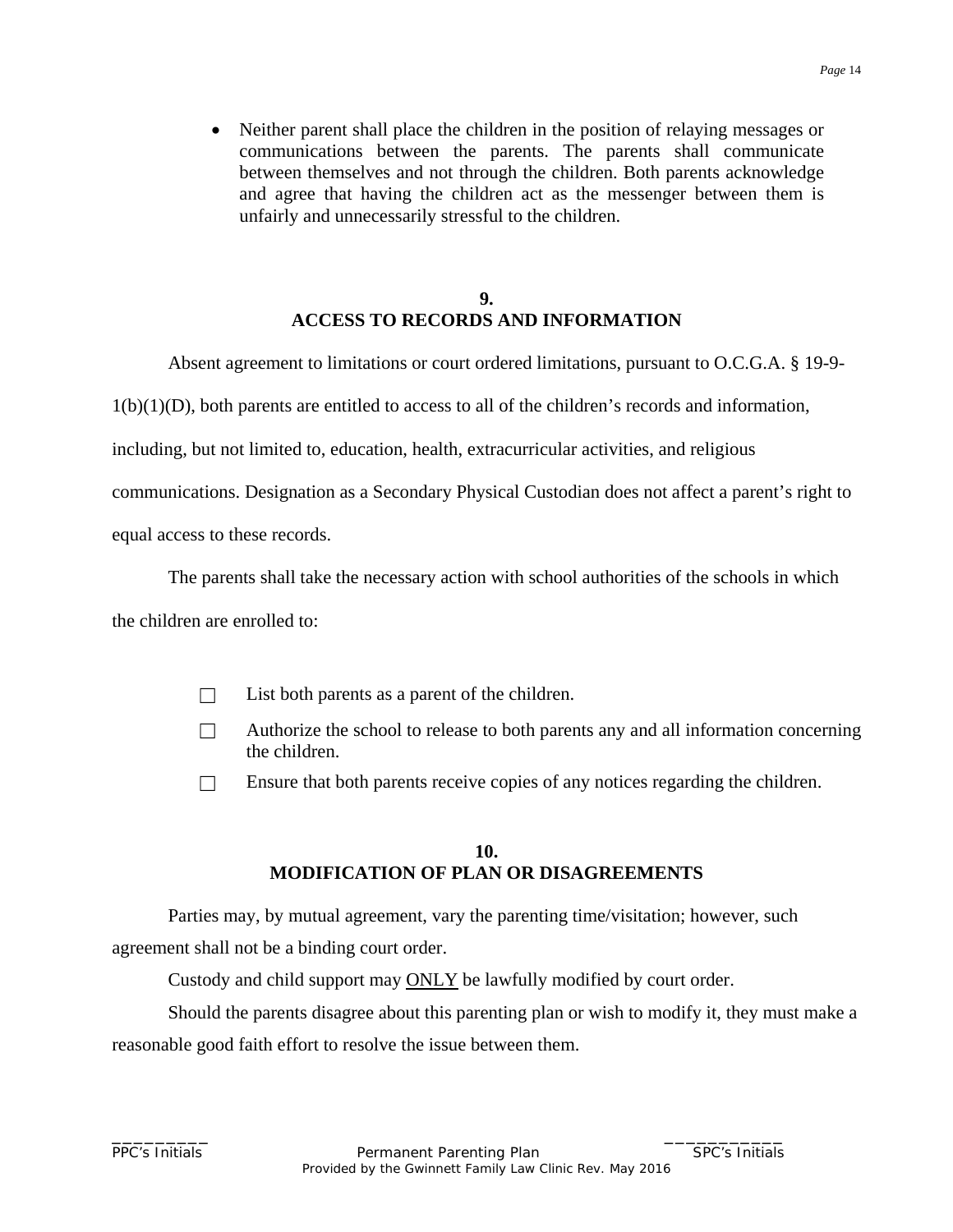• Neither parent shall place the children in the position of relaying messages or communications between the parents. The parents shall communicate between themselves and not through the children. Both parents acknowledge and agree that having the children act as the messenger between them is unfairly and unnecessarily stressful to the children.

#### **9. ACCESS TO RECORDS AND INFORMATION**

Absent agreement to limitations or court ordered limitations, pursuant to O.C.G.A. § 19-9-

 $1(b)(1)(D)$ , both parents are entitled to access to all of the children's records and information,

including, but not limited to, education, health, extracurricular activities, and religious

communications. Designation as a Secondary Physical Custodian does not affect a parent's right to

equal access to these records.

The parents shall take the necessary action with school authorities of the schools in which

the children are enrolled to:

- $\Box$  List both parents as a parent of the children.
- $\Box$  Authorize the school to release to both parents any and all information concerning the children.
- □ Ensure that both parents receive copies of any notices regarding the children.

## **10. MODIFICATION OF PLAN OR DISAGREEMENTS**

Parties may, by mutual agreement, vary the parenting time/visitation; however, such agreement shall not be a binding court order.

Custody and child support may ONLY be lawfully modified by court order.

\_\_\_\_\_\_\_\_\_ \_\_\_\_\_\_\_\_\_\_\_

Should the parents disagree about this parenting plan or wish to modify it, they must make a reasonable good faith effort to resolve the issue between them.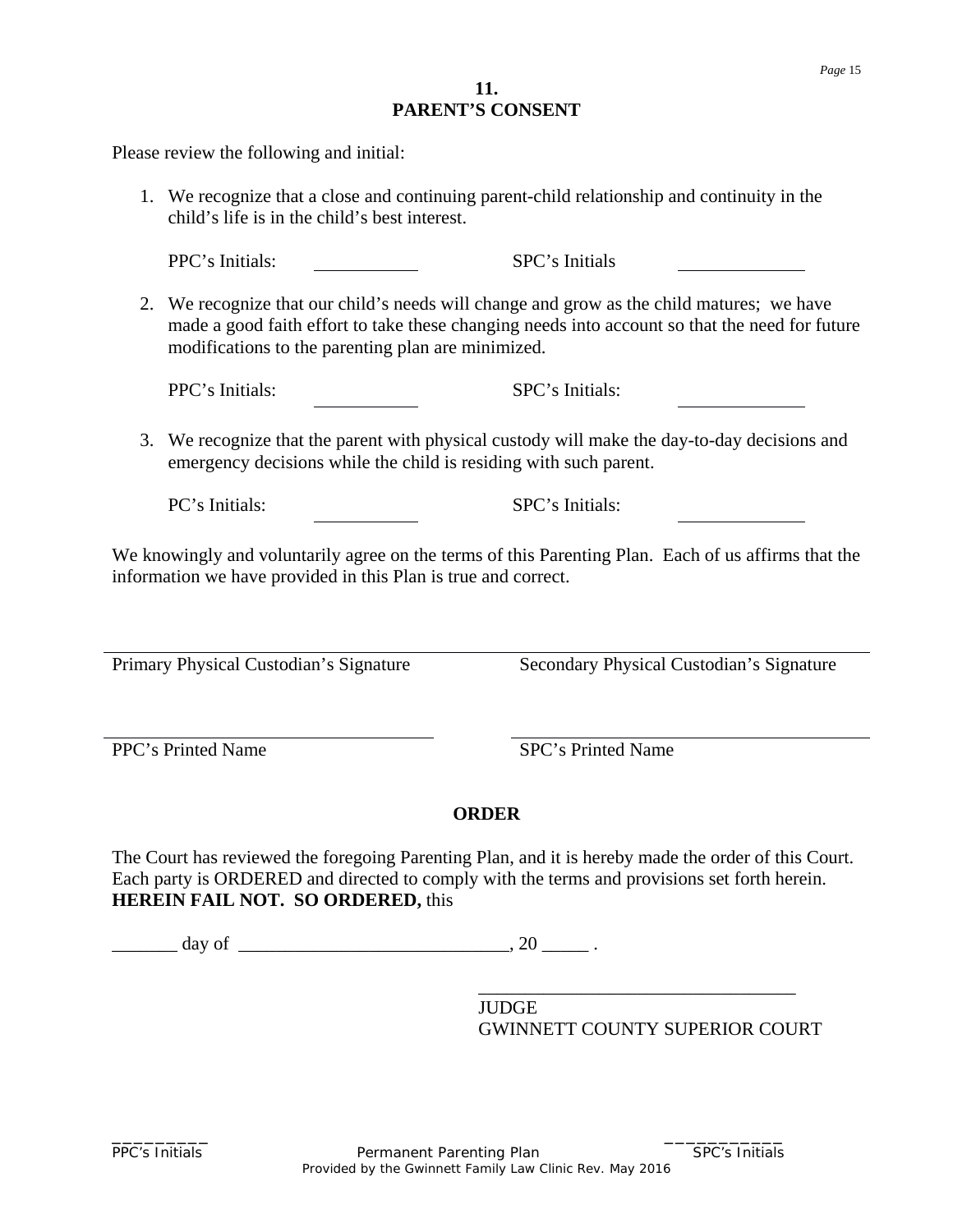## **11. PARENT'S CONSENT**

Please review the following and initial:

1. We recognize that a close and continuing parent-child relationship and continuity in the child's life is in the child's best interest.

PPC's Initials: SPC's Initials

2. We recognize that our child's needs will change and grow as the child matures; we have made a good faith effort to take these changing needs into account so that the need for future modifications to the parenting plan are minimized.

PPC's Initials: SPC's Initials:

3. We recognize that the parent with physical custody will make the day-to-day decisions and emergency decisions while the child is residing with such parent.

PC's Initials: SPC's Initials:

We knowingly and voluntarily agree on the terms of this Parenting Plan. Each of us affirms that the information we have provided in this Plan is true and correct.

Primary Physical Custodian's Signature Secondary Physical Custodian's Signature

PPC's Printed Name SPC's Printed Name

# **ORDER**

The Court has reviewed the foregoing Parenting Plan, and it is hereby made the order of this Court. Each party is ORDERED and directed to comply with the terms and provisions set forth herein. **HEREIN FAIL NOT. SO ORDERED,** this

 $\frac{day}{f}$  of  $\frac{dy}{f}$ 

\_\_\_\_\_\_\_\_\_\_\_\_\_\_\_\_\_\_\_\_\_\_\_\_\_\_\_\_\_\_\_\_\_\_ **JUDGE** GWINNETT COUNTY SUPERIOR COURT